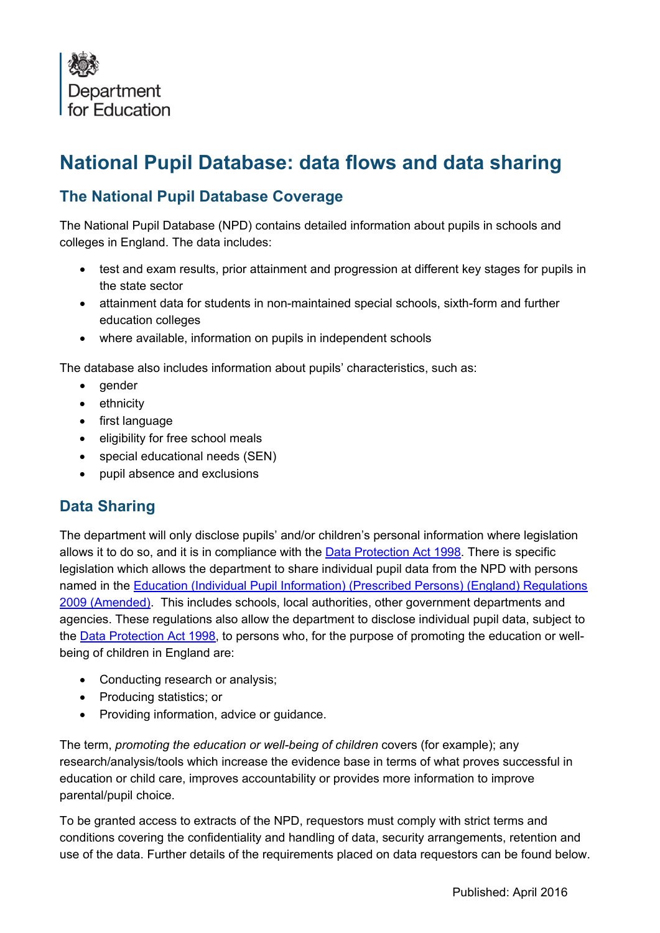

# **National Pupil Database: data flows and data sharing**

### **The National Pupil Database Coverage**

The National Pupil Database (NPD) contains detailed information about pupils in schools and colleges in England. The data includes:

- test and exam results, prior attainment and progression at different key stages for pupils in the state sector
- attainment data for students in non-maintained special schools, sixth-form and further education colleges
- where available, information on pupils in independent schools

The database also includes information about pupils' characteristics, such as:

- gender
- ethnicity
- first language
- eligibility for free school meals
- special educational needs (SEN)
- pupil absence and exclusions

#### **Data Sharing**

The department will only disclose pupils' and/or children's personal information where legislation allows it to do so, and it is in compliance with the [Data Protection Act 1998.](http://www.legislation.gov.uk/ukpga/1998/29/contents) There is specific legislation which allows the department to share individual pupil data from the NPD with persons named in the [Education \(Individual Pupil Information\) \(Prescribed Persons\) \(England\) Regulations](http://www.legislation.gov.uk/uksi/2009/1563/made)  [2009 \(Amended\).](http://www.legislation.gov.uk/uksi/2009/1563/made) This includes schools, local authorities, other government departments and agencies. These regulations also allow the department to disclose individual pupil data, subject to the **Data Protection Act 1998**, to persons who, for the purpose of promoting the education or wellbeing of children in England are:

- Conducting research or analysis;
- Producing statistics; or
- Providing information, advice or quidance.

The term, *promoting the education or well-being of children* covers (for example); any research/analysis/tools which increase the evidence base in terms of what proves successful in education or child care, improves accountability or provides more information to improve parental/pupil choice.

To be granted access to extracts of the NPD, requestors must comply with strict terms and conditions covering the confidentiality and handling of data, security arrangements, retention and use of the data. Further details of the requirements placed on data requestors can be found below.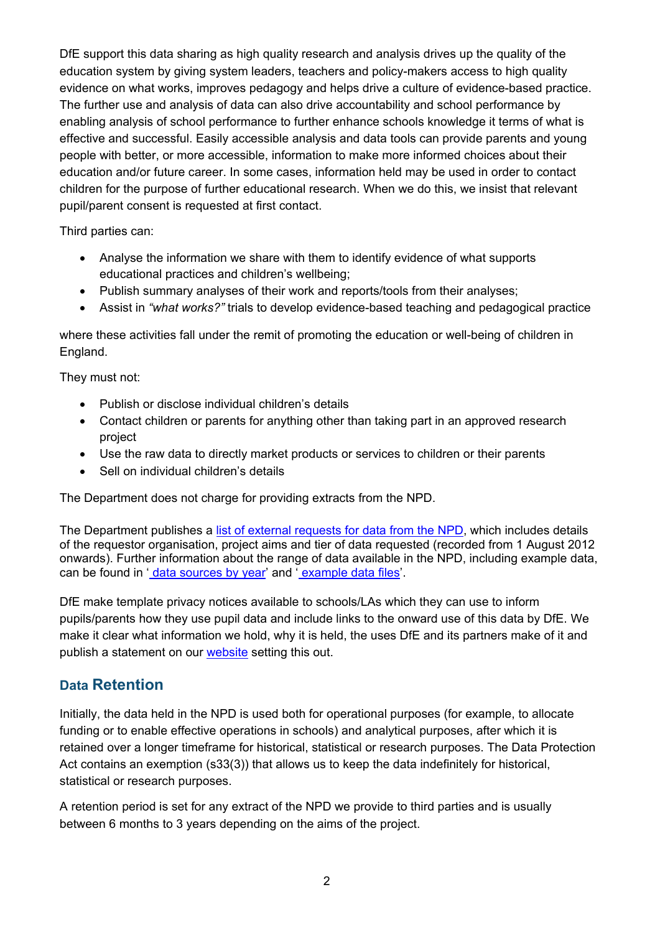DfE support this data sharing as high quality research and analysis drives up the quality of the education system by giving system leaders, teachers and policy-makers access to high quality evidence on what works, improves pedagogy and helps drive a culture of evidence-based practice. The further use and analysis of data can also drive accountability and school performance by enabling analysis of school performance to further enhance schools knowledge it terms of what is effective and successful. Easily accessible analysis and data tools can provide parents and young people with better, or more accessible, information to make more informed choices about their education and/or future career. In some cases, information held may be used in order to contact children for the purpose of further educational research. When we do this, we insist that relevant pupil/parent consent is requested at first contact.

Third parties can:

- Analyse the information we share with them to identify evidence of what supports educational practices and children's wellbeing;
- Publish summary analyses of their work and reports/tools from their analyses;
- Assist in *"what works?"* trials to develop evidence-based teaching and pedagogical practice

where these activities fall under the remit of promoting the education or well-being of children in England.

They must not:

- Publish or disclose individual children's details
- Contact children or parents for anything other than taking part in an approved research project
- Use the raw data to directly market products or services to children or their parents
- Sell on individual children's details

The Department does not charge for providing extracts from the NPD.

The Department publishes a [list of external requests for data from the NPD,](https://www.gov.uk/government/publications/national-pupil-database-requests-received) which includes details of the requestor organisation, project aims and tier of data requested (recorded from 1 August 2012 onwards). Further information about the range of data available in the NPD, including example data, can be found in ' [data sources by year'](https://www.gov.uk/government/publications/national-pupil-database-user-guide-and-supporting-information) and ' [example data files'](https://www.gov.uk/government/publications/national-pupil-database-user-guide-and-supporting-information).

DfE make template privacy notices available to schools/LAs which they can use to inform pupils/parents how they use pupil data and include links to the onward use of this data by DfE. We make it clear what information we hold, why it is held, the uses DfE and its partners make of it and publish a statement on our [website](https://www.gov.uk/data-protection-how-we-collect-and-share-research-data) setting this out.

#### **Data Retention**

Initially, the data held in the NPD is used both for operational purposes (for example, to allocate funding or to enable effective operations in schools) and analytical purposes, after which it is retained over a longer timeframe for historical, statistical or research purposes. The Data Protection Act contains an exemption (s33(3)) that allows us to keep the data indefinitely for historical, statistical or research purposes.

A retention period is set for any extract of the NPD we provide to third parties and is usually between 6 months to 3 years depending on the aims of the project.